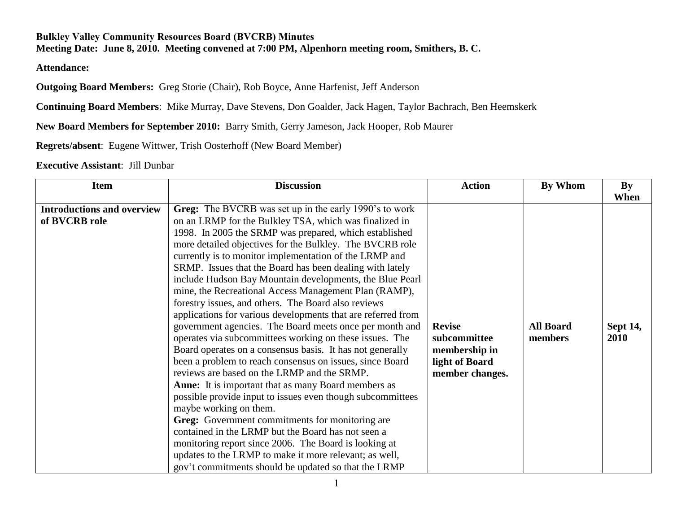## **Bulkley Valley Community Resources Board (BVCRB) Minutes Meeting Date: June 8, 2010. Meeting convened at 7:00 PM, Alpenhorn meeting room, Smithers, B. C.**

**Attendance:**

**Outgoing Board Members:** Greg Storie (Chair), Rob Boyce, Anne Harfenist, Jeff Anderson

**Continuing Board Members**: Mike Murray, Dave Stevens, Don Goalder, Jack Hagen, Taylor Bachrach, Ben Heemskerk

**New Board Members for September 2010:** Barry Smith, Gerry Jameson, Jack Hooper, Rob Maurer

**Regrets/absent**: Eugene Wittwer, Trish Oosterhoff (New Board Member)

## **Executive Assistant**: Jill Dunbar

| <b>Item</b>                                        | <b>Discussion</b>                                                                                                                                                                                                                                                                                                                                                                                                                                                                                                                                                                                                                                                                                                                                                                                                                                                                                                                                                                                                                                                                                                                                                                                                                                                                                                                                | <b>Action</b>                                                                       | By Whom                     | By                              |
|----------------------------------------------------|--------------------------------------------------------------------------------------------------------------------------------------------------------------------------------------------------------------------------------------------------------------------------------------------------------------------------------------------------------------------------------------------------------------------------------------------------------------------------------------------------------------------------------------------------------------------------------------------------------------------------------------------------------------------------------------------------------------------------------------------------------------------------------------------------------------------------------------------------------------------------------------------------------------------------------------------------------------------------------------------------------------------------------------------------------------------------------------------------------------------------------------------------------------------------------------------------------------------------------------------------------------------------------------------------------------------------------------------------|-------------------------------------------------------------------------------------|-----------------------------|---------------------------------|
| <b>Introductions and overview</b><br>of BVCRB role | Greg: The BVCRB was set up in the early 1990's to work<br>on an LRMP for the Bulkley TSA, which was finalized in<br>1998. In 2005 the SRMP was prepared, which established<br>more detailed objectives for the Bulkley. The BVCRB role<br>currently is to monitor implementation of the LRMP and<br>SRMP. Issues that the Board has been dealing with lately<br>include Hudson Bay Mountain developments, the Blue Pearl<br>mine, the Recreational Access Management Plan (RAMP),<br>forestry issues, and others. The Board also reviews<br>applications for various developments that are referred from<br>government agencies. The Board meets once per month and<br>operates via subcommittees working on these issues. The<br>Board operates on a consensus basis. It has not generally<br>been a problem to reach consensus on issues, since Board<br>reviews are based on the LRMP and the SRMP.<br><b>Anne:</b> It is important that as many Board members as<br>possible provide input to issues even though subcommittees<br>maybe working on them.<br>Greg: Government commitments for monitoring are<br>contained in the LRMP but the Board has not seen a<br>monitoring report since 2006. The Board is looking at<br>updates to the LRMP to make it more relevant; as well,<br>gov't commitments should be updated so that the LRMP | <b>Revise</b><br>subcommittee<br>membership in<br>light of Board<br>member changes. | <b>All Board</b><br>members | When<br><b>Sept 14,</b><br>2010 |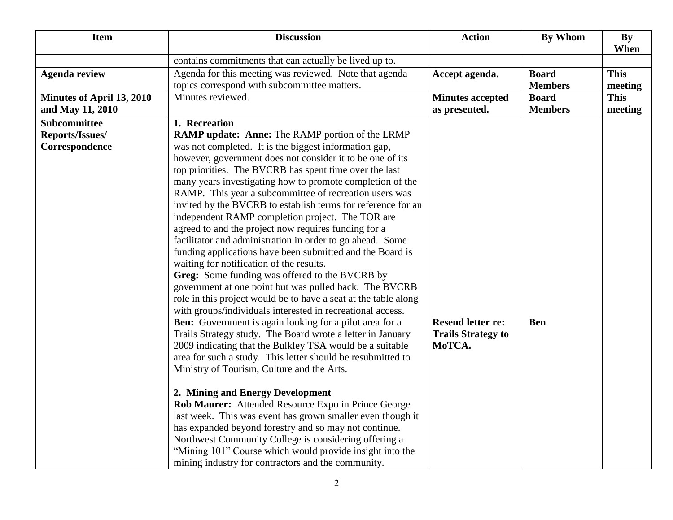| <b>Item</b>               | <b>Discussion</b>                                               | <b>Action</b>             | <b>By Whom</b> | <b>By</b><br>When |
|---------------------------|-----------------------------------------------------------------|---------------------------|----------------|-------------------|
|                           | contains commitments that can actually be lived up to.          |                           |                |                   |
| <b>Agenda review</b>      | Agenda for this meeting was reviewed. Note that agenda          | Accept agenda.            | <b>Board</b>   | <b>This</b>       |
|                           | topics correspond with subcommittee matters.                    |                           | <b>Members</b> | meeting           |
| Minutes of April 13, 2010 | Minutes reviewed.                                               | <b>Minutes accepted</b>   | <b>Board</b>   | <b>This</b>       |
| and May 11, 2010          |                                                                 | as presented.             | <b>Members</b> | meeting           |
| Subcommittee              | 1. Recreation                                                   |                           |                |                   |
| Reports/Issues/           | <b>RAMP update: Anne: The RAMP portion of the LRMP</b>          |                           |                |                   |
| Correspondence            | was not completed. It is the biggest information gap,           |                           |                |                   |
|                           | however, government does not consider it to be one of its       |                           |                |                   |
|                           | top priorities. The BVCRB has spent time over the last          |                           |                |                   |
|                           | many years investigating how to promote completion of the       |                           |                |                   |
|                           | RAMP. This year a subcommittee of recreation users was          |                           |                |                   |
|                           | invited by the BVCRB to establish terms for reference for an    |                           |                |                   |
|                           | independent RAMP completion project. The TOR are                |                           |                |                   |
|                           | agreed to and the project now requires funding for a            |                           |                |                   |
|                           | facilitator and administration in order to go ahead. Some       |                           |                |                   |
|                           | funding applications have been submitted and the Board is       |                           |                |                   |
|                           | waiting for notification of the results.                        |                           |                |                   |
|                           | Greg: Some funding was offered to the BVCRB by                  |                           |                |                   |
|                           | government at one point but was pulled back. The BVCRB          |                           |                |                   |
|                           | role in this project would be to have a seat at the table along |                           |                |                   |
|                           | with groups/individuals interested in recreational access.      |                           |                |                   |
|                           | <b>Ben:</b> Government is again looking for a pilot area for a  | <b>Resend letter re:</b>  | <b>Ben</b>     |                   |
|                           | Trails Strategy study. The Board wrote a letter in January      | <b>Trails Strategy to</b> |                |                   |
|                           | 2009 indicating that the Bulkley TSA would be a suitable        | MoTCA.                    |                |                   |
|                           | area for such a study. This letter should be resubmitted to     |                           |                |                   |
|                           | Ministry of Tourism, Culture and the Arts.                      |                           |                |                   |
|                           | 2. Mining and Energy Development                                |                           |                |                   |
|                           | Rob Maurer: Attended Resource Expo in Prince George             |                           |                |                   |
|                           | last week. This was event has grown smaller even though it      |                           |                |                   |
|                           | has expanded beyond forestry and so may not continue.           |                           |                |                   |
|                           | Northwest Community College is considering offering a           |                           |                |                   |
|                           | "Mining 101" Course which would provide insight into the        |                           |                |                   |
|                           | mining industry for contractors and the community.              |                           |                |                   |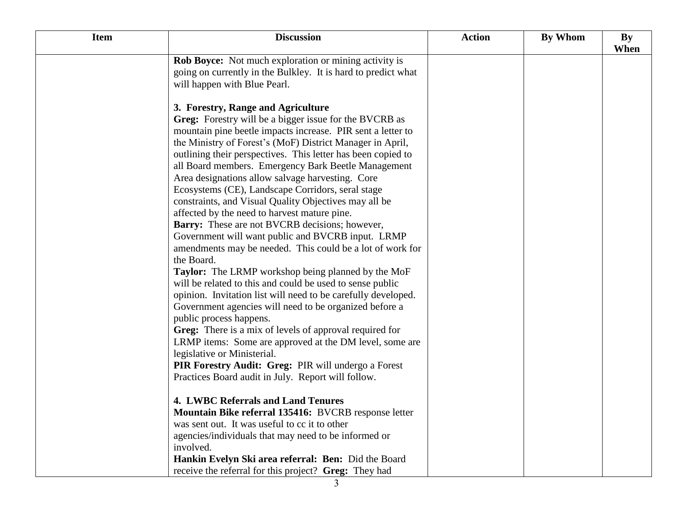| <b>Item</b> | <b>Discussion</b>                                             | <b>Action</b> | By Whom | <b>By</b><br>When |
|-------------|---------------------------------------------------------------|---------------|---------|-------------------|
|             | <b>Rob Boyce:</b> Not much exploration or mining activity is  |               |         |                   |
|             | going on currently in the Bulkley. It is hard to predict what |               |         |                   |
|             | will happen with Blue Pearl.                                  |               |         |                   |
|             |                                                               |               |         |                   |
|             | 3. Forestry, Range and Agriculture                            |               |         |                   |
|             | Greg: Forestry will be a bigger issue for the BVCRB as        |               |         |                   |
|             | mountain pine beetle impacts increase. PIR sent a letter to   |               |         |                   |
|             | the Ministry of Forest's (MoF) District Manager in April,     |               |         |                   |
|             | outlining their perspectives. This letter has been copied to  |               |         |                   |
|             | all Board members. Emergency Bark Beetle Management           |               |         |                   |
|             | Area designations allow salvage harvesting. Core              |               |         |                   |
|             | Ecosystems (CE), Landscape Corridors, seral stage             |               |         |                   |
|             | constraints, and Visual Quality Objectives may all be         |               |         |                   |
|             | affected by the need to harvest mature pine.                  |               |         |                   |
|             | <b>Barry:</b> These are not BVCRB decisions; however,         |               |         |                   |
|             | Government will want public and BVCRB input. LRMP             |               |         |                   |
|             | amendments may be needed. This could be a lot of work for     |               |         |                   |
|             | the Board.                                                    |               |         |                   |
|             | Taylor: The LRMP workshop being planned by the MoF            |               |         |                   |
|             | will be related to this and could be used to sense public     |               |         |                   |
|             | opinion. Invitation list will need to be carefully developed. |               |         |                   |
|             | Government agencies will need to be organized before a        |               |         |                   |
|             | public process happens.                                       |               |         |                   |
|             | Greg: There is a mix of levels of approval required for       |               |         |                   |
|             | LRMP items: Some are approved at the DM level, some are       |               |         |                   |
|             | legislative or Ministerial.                                   |               |         |                   |
|             | PIR Forestry Audit: Greg: PIR will undergo a Forest           |               |         |                   |
|             | Practices Board audit in July. Report will follow.            |               |         |                   |
|             |                                                               |               |         |                   |
|             | <b>4. LWBC Referrals and Land Tenures</b>                     |               |         |                   |
|             | <b>Mountain Bike referral 135416: BVCRB response letter</b>   |               |         |                   |
|             | was sent out. It was useful to cc it to other                 |               |         |                   |
|             | agencies/individuals that may need to be informed or          |               |         |                   |
|             | involved.                                                     |               |         |                   |
|             | Hankin Evelyn Ski area referral: Ben: Did the Board           |               |         |                   |
|             | receive the referral for this project? Greg: They had         |               |         |                   |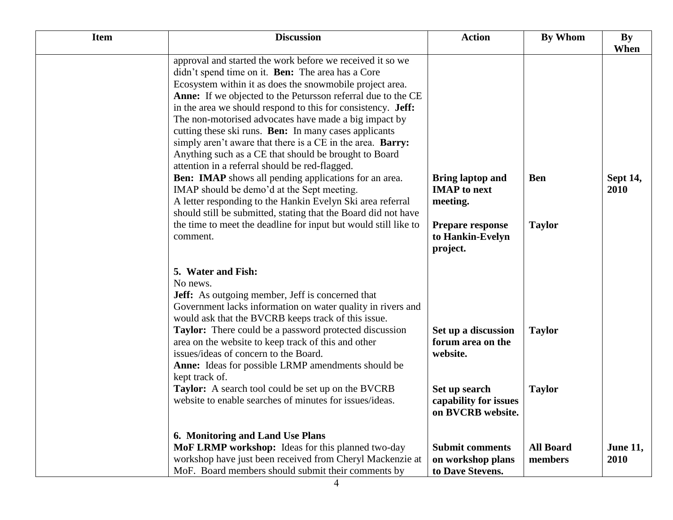| <b>Item</b> | <b>Discussion</b>                                                                                                                                                                                                                                                                                                                                                                                                                                                                                                                                                                                            | <b>Action</b>                                                                                                                   | By Whom                        | By<br>When              |
|-------------|--------------------------------------------------------------------------------------------------------------------------------------------------------------------------------------------------------------------------------------------------------------------------------------------------------------------------------------------------------------------------------------------------------------------------------------------------------------------------------------------------------------------------------------------------------------------------------------------------------------|---------------------------------------------------------------------------------------------------------------------------------|--------------------------------|-------------------------|
|             | approval and started the work before we received it so we<br>didn't spend time on it. <b>Ben:</b> The area has a Core<br>Ecosystem within it as does the snowmobile project area.<br>Anne: If we objected to the Petursson referral due to the CE<br>in the area we should respond to this for consistency. Jeff:<br>The non-motorised advocates have made a big impact by<br>cutting these ski runs. Ben: In many cases applicants<br>simply aren't aware that there is a CE in the area. Barry:<br>Anything such as a CE that should be brought to Board<br>attention in a referral should be red-flagged. |                                                                                                                                 |                                |                         |
|             | <b>Ben: IMAP</b> shows all pending applications for an area.<br>IMAP should be demo'd at the Sept meeting.<br>A letter responding to the Hankin Evelyn Ski area referral<br>should still be submitted, stating that the Board did not have<br>the time to meet the deadline for input but would still like to<br>comment.                                                                                                                                                                                                                                                                                    | <b>Bring laptop and</b><br><b>IMAP</b> to next<br>meeting.<br>Prepare response<br>to Hankin-Evelyn                              | <b>Ben</b><br><b>Taylor</b>    | <b>Sept 14,</b><br>2010 |
|             | 5. Water and Fish:<br>No news.<br><b>Jeff:</b> As outgoing member, Jeff is concerned that<br>Government lacks information on water quality in rivers and<br>would ask that the BVCRB keeps track of this issue.<br><b>Taylor:</b> There could be a password protected discussion<br>area on the website to keep track of this and other<br>issues/ideas of concern to the Board.<br><b>Anne:</b> Ideas for possible LRMP amendments should be<br>kept track of.<br>Taylor: A search tool could be set up on the BVCRB<br>website to enable searches of minutes for issues/ideas.                             | project.<br>Set up a discussion<br>forum area on the<br>website.<br>Set up search<br>capability for issues<br>on BVCRB website. | <b>Taylor</b><br><b>Taylor</b> |                         |
|             | 6. Monitoring and Land Use Plans<br>MoF LRMP workshop: Ideas for this planned two-day<br>workshop have just been received from Cheryl Mackenzie at<br>MoF. Board members should submit their comments by                                                                                                                                                                                                                                                                                                                                                                                                     | <b>Submit comments</b><br>on workshop plans<br>to Dave Stevens.                                                                 | <b>All Board</b><br>members    | <b>June 11,</b><br>2010 |